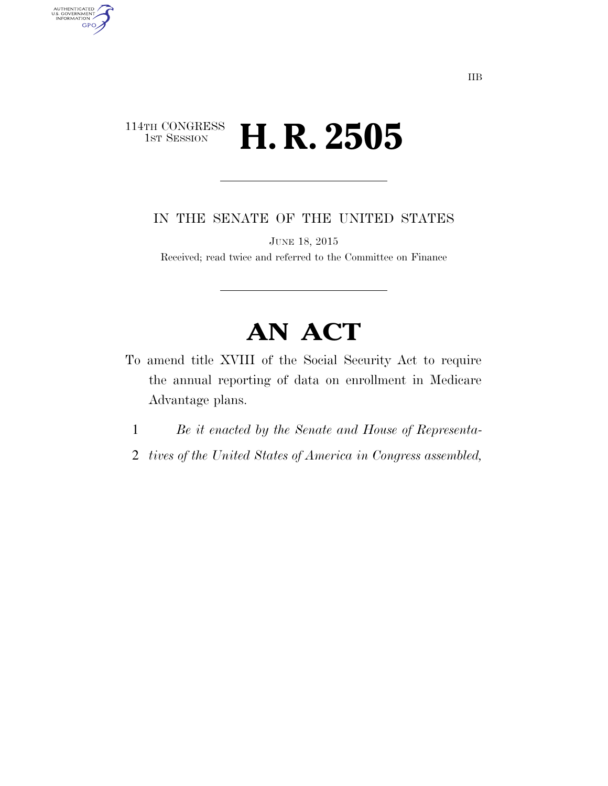## 114TH CONGRESS<br>1st Session H. R. 2505

AUTHENTICATED<br>U.S. GOVERNMENT<br>INFORMATION **GPO** 

IN THE SENATE OF THE UNITED STATES

JUNE 18, 2015

Received; read twice and referred to the Committee on Finance

## **AN ACT**

- To amend title XVIII of the Social Security Act to require the annual reporting of data on enrollment in Medicare Advantage plans.
	- 1 *Be it enacted by the Senate and House of Representa-*
	- 2 *tives of the United States of America in Congress assembled,*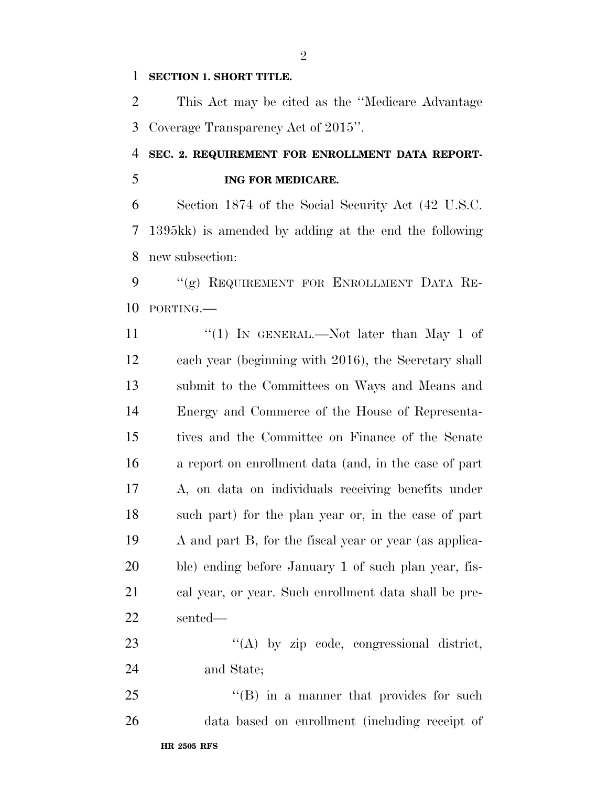## **SECTION 1. SHORT TITLE.**

 This Act may be cited as the ''Medicare Advantage Coverage Transparency Act of 2015''.

## **SEC. 2. REQUIREMENT FOR ENROLLMENT DATA REPORT-ING FOR MEDICARE.**

 Section 1874 of the Social Security Act (42 U.S.C. 1395kk) is amended by adding at the end the following new subsection:

 ''(g) REQUIREMENT FOR ENROLLMENT DATA RE-PORTING.—

11 ''(1) IN GENERAL.—Not later than May 1 of each year (beginning with 2016), the Secretary shall submit to the Committees on Ways and Means and Energy and Commerce of the House of Representa- tives and the Committee on Finance of the Senate a report on enrollment data (and, in the case of part A, on data on individuals receiving benefits under such part) for the plan year or, in the case of part A and part B, for the fiscal year or year (as applica- ble) ending before January 1 of such plan year, fis- cal year, or year. Such enrollment data shall be pre-sented—

23 "(A) by zip code, congressional district, and State;

25 "'(B) in a manner that provides for such data based on enrollment (including receipt of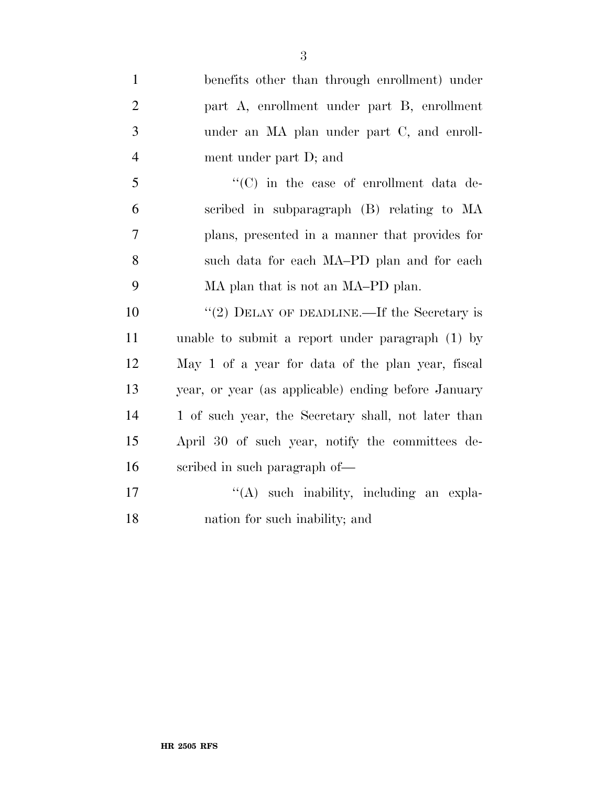| $\mathbf{1}$   | benefits other than through enrollment) under       |
|----------------|-----------------------------------------------------|
| $\overline{2}$ | part A, enrollment under part B, enrollment         |
| 3              | under an MA plan under part C, and enroll-          |
| $\overline{4}$ | ment under part D; and                              |
| 5              | "(C) in the case of enrollment data de-             |
| 6              | scribed in subparagraph (B) relating to MA          |
| $\overline{7}$ | plans, presented in a manner that provides for      |
| 8              | such data for each MA-PD plan and for each          |
| 9              | MA plan that is not an MA-PD plan.                  |
| 10             | "(2) DELAY OF DEADLINE.—If the Secretary is         |
| 11             | unable to submit a report under paragraph (1) by    |
| 12             | May 1 of a year for data of the plan year, fiscal   |
| 13             | year, or year (as applicable) ending before January |
| 14             | 1 of such year, the Secretary shall, not later than |
| 15             | April 30 of such year, notify the committees de-    |
| 16             | scribed in such paragraph of—                       |
| 17             | $\lq\lq$ such inability, including an expla-        |
| 18             | nation for such inability; and                      |